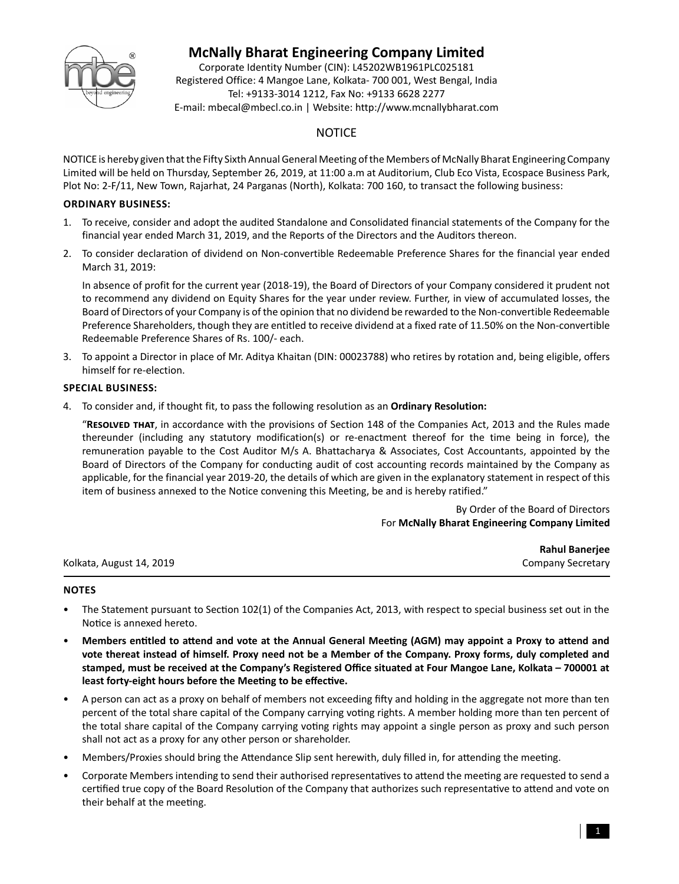

# **McNally Bharat Engineering Company Limited**

Corporate Identity Number (CIN): L45202WB1961PLC025181 Registered Office: 4 Mangoe Lane, Kolkata- 700 001, West Bengal, India Tel: +9133-3014 1212, Fax No: +9133 6628 2277 E-mail: mbecal@mbecl.co.in | Website: http://www.mcnallybharat.com

# **NOTICE**

NOTICE is hereby given that the Fifty Sixth Annual General Meeting of the Members of McNally Bharat Engineering Company Limited will be held on Thursday, September 26, 2019, at 11:00 a.m at Auditorium, Club Eco Vista, Ecospace Business Park, Plot No: 2-F/11, New Town, Rajarhat, 24 Parganas (North), Kolkata: 700 160, to transact the following business:

## **ORDINARY BUSINESS:**

- 1. To receive, consider and adopt the audited Standalone and Consolidated financial statements of the Company for the financial year ended March 31, 2019, and the Reports of the Directors and the Auditors thereon.
- 2. To consider declaration of dividend on Non-convertible Redeemable Preference Shares for the financial year ended March 31, 2019:

 In absence of profit for the current year (2018-19), the Board of Directors of your Company considered it prudent not to recommend any dividend on Equity Shares for the year under review. Further, in view of accumulated losses, the Board of Directors of your Company is of the opinion that no dividend be rewarded to the Non-convertible Redeemable Preference Shareholders, though they are entitled to receive dividend at a fixed rate of 11.50% on the Non-convertible Redeemable Preference Shares of Rs. 100/- each.

3. To appoint a Director in place of Mr. Aditya Khaitan (DIN: 00023788) who retires by rotation and, being eligible, offers himself for re-election.

## **SPECIAL BUSINESS:**

4. To consider and, if thought fit, to pass the following resolution as an **Ordinary Resolution:**

"RESOLVED THAT, in accordance with the provisions of Section 148 of the Companies Act, 2013 and the Rules made thereunder (including any statutory modification(s) or re-enactment thereof for the time being in force), the remuneration payable to the Cost Auditor M/s A. Bhattacharya & Associates, Cost Accountants, appointed by the Board of Directors of the Company for conducting audit of cost accounting records maintained by the Company as applicable, for the financial year 2019-20, the details of which are given in the explanatory statement in respect of this item of business annexed to the Notice convening this Meeting, be and is hereby ratified."

> By Order of the Board of Directors For **McNally Bharat Engineering Company Limited**

|                          | <b>Rahul Banerjee</b>    |
|--------------------------|--------------------------|
| Kolkata, August 14, 2019 | <b>Company Secretary</b> |

# **NOTES**

- The Statement pursuant to Section 102(1) of the Companies Act, 2013, with respect to special business set out in the Notice is annexed hereto.
- Members entitled to attend and vote at the Annual General Meeting (AGM) may appoint a Proxy to attend and **vote thereat instead of himself. Proxy need not be a Member of the Company. Proxy forms, duly completed and stamped, must be received at the Company's Registered Office situated at Four Mangoe Lane, Kolkata – 700001 at**  least forty-eight hours before the Meeting to be effective.
- A person can act as a proxy on behalf of members not exceeding fifty and holding in the aggregate not more than ten percent of the total share capital of the Company carrying voting rights. A member holding more than ten percent of the total share capital of the Company carrying voting rights may appoint a single person as proxy and such person shall not act as a proxy for any other person or shareholder.
- Members/Proxies should bring the Attendance Slip sent herewith, duly filled in, for attending the meeting.
- Corporate Members intending to send their authorised representatives to attend the meeting are requested to send a certified true copy of the Board Resolution of the Company that authorizes such representative to attend and vote on their behalf at the meeting.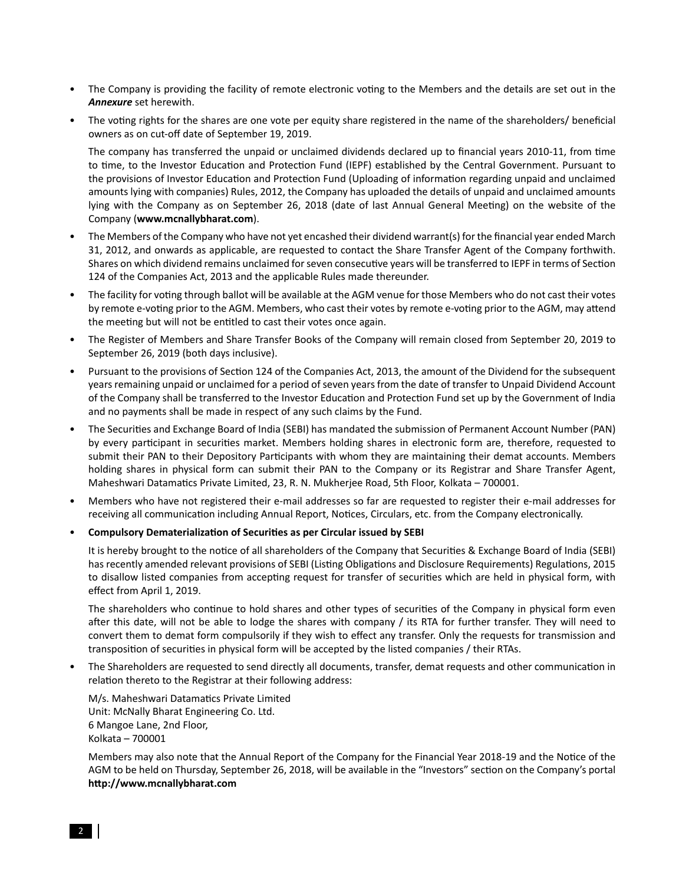- The Company is providing the facility of remote electronic voting to the Members and the details are set out in the *Annexure* set herewith.
- The voting rights for the shares are one vote per equity share registered in the name of the shareholders/ beneficial owners as on cut-off date of September 19, 2019.

The company has transferred the unpaid or unclaimed dividends declared up to financial years 2010-11, from time to time, to the Investor Education and Protection Fund (IEPF) established by the Central Government. Pursuant to the provisions of Investor Education and Protection Fund (Uploading of information regarding unpaid and unclaimed amounts lying with companies) Rules, 2012, the Company has uploaded the details of unpaid and unclaimed amounts lying with the Company as on September 26, 2018 (date of last Annual General Meeting) on the website of the Company (**www.mcnallybharat.com**).

- The Members of the Company who have not yet encashed their dividend warrant(s) for the financial year ended March 31, 2012, and onwards as applicable, are requested to contact the Share Transfer Agent of the Company forthwith. Shares on which dividend remains unclaimed for seven consecutive years will be transferred to IEPF in terms of Section 124 of the Companies Act, 2013 and the applicable Rules made thereunder.
- The facility for voting through ballot will be available at the AGM venue for those Members who do not cast their votes by remote e-voting prior to the AGM. Members, who cast their votes by remote e-voting prior to the AGM, may attend the meeting but will not be entitled to cast their votes once again.
- The Register of Members and Share Transfer Books of the Company will remain closed from September 20, 2019 to September 26, 2019 (both days inclusive).
- Pursuant to the provisions of Section 124 of the Companies Act, 2013, the amount of the Dividend for the subsequent years remaining unpaid or unclaimed for a period of seven years from the date of transfer to Unpaid Dividend Account of the Company shall be transferred to the Investor Education and Protection Fund set up by the Government of India and no payments shall be made in respect of any such claims by the Fund.
- The Securities and Exchange Board of India (SEBI) has mandated the submission of Permanent Account Number (PAN) by every participant in securities market. Members holding shares in electronic form are, therefore, requested to submit their PAN to their Depository Participants with whom they are maintaining their demat accounts. Members holding shares in physical form can submit their PAN to the Company or its Registrar and Share Transfer Agent, Maheshwari Datamatics Private Limited, 23, R. N. Mukherjee Road, 5th Floor, Kolkata - 700001.
- Members who have not registered their e-mail addresses so far are requested to register their e-mail addresses for receiving all communication including Annual Report, Notices, Circulars, etc. from the Company electronically.
- **Compulsory Dematerialization of Securities as per Circular issued by SEBI**

It is hereby brought to the notice of all shareholders of the Company that Securities & Exchange Board of India (SEBI) has recently amended relevant provisions of SEBI (Listing Obligations and Disclosure Requirements) Regulations, 2015 to disallow listed companies from accepting request for transfer of securities which are held in physical form, with effect from April 1, 2019.

The shareholders who continue to hold shares and other types of securities of the Company in physical form even after this date, will not be able to lodge the shares with company / its RTA for further transfer. They will need to convert them to demat form compulsorily if they wish to effect any transfer. Only the requests for transmission and transposition of securities in physical form will be accepted by the listed companies / their RTAs.

• The Shareholders are requested to send directly all documents, transfer, demat requests and other communication in relation thereto to the Registrar at their following address:

M/s. Maheshwari Datamatics Private Limited Unit: McNally Bharat Engineering Co. Ltd. 6 Mangoe Lane, 2nd Floor, Kolkata – 700001

Members may also note that the Annual Report of the Company for the Financial Year 2018-19 and the Notice of the AGM to be held on Thursday, September 26, 2018, will be available in the "Investors" section on the Company's portal **h"p://www.mcnallybharat.com**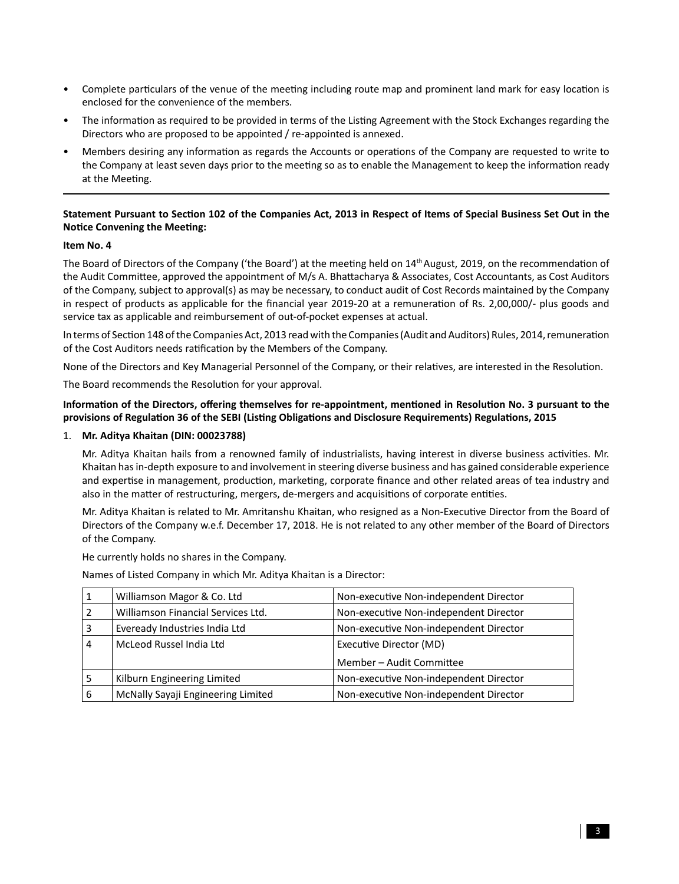- Complete particulars of the venue of the meeting including route map and prominent land mark for easy location is enclosed for the convenience of the members.
- The information as required to be provided in terms of the Listing Agreement with the Stock Exchanges regarding the Directors who are proposed to be appointed / re-appointed is annexed.
- Members desiring any information as regards the Accounts or operations of the Company are requested to write to the Company at least seven days prior to the meeting so as to enable the Management to keep the information ready at the Meeting.

## Statement Pursuant to Section 102 of the Companies Act, 2013 in Respect of Items of Special Business Set Out in the **Notice Convening the Meeting:**

### **Item No. 4**

The Board of Directors of the Company ('the Board') at the meeting held on 14<sup>th</sup> August, 2019, on the recommendation of the Audit Committee, approved the appointment of M/s A. Bhattacharya & Associates, Cost Accountants, as Cost Auditors of the Company, subject to approval(s) as may be necessary, to conduct audit of Cost Records maintained by the Company in respect of products as applicable for the financial year 2019-20 at a remuneration of Rs. 2,00,000/- plus goods and service tax as applicable and reimbursement of out-of-pocket expenses at actual.

In terms of Section 148 of the Companies Act, 2013 read with the Companies (Audit and Auditors) Rules, 2014, remuneration of the Cost Auditors needs ratification by the Members of the Company.

None of the Directors and Key Managerial Personnel of the Company, or their relatives, are interested in the Resolution.

The Board recommends the Resolution for your approval.

#### Information of the Directors, offering themselves for re-appointment, mentioned in Resolution No. 3 pursuant to the provisions of Regulation 36 of the SEBI (Listing Obligations and Disclosure Requirements) Regulations, 2015

#### 1. **Mr. Aditya Khaitan (DIN: 00023788)**

Mr. Aditya Khaitan hails from a renowned family of industrialists, having interest in diverse business activities. Mr. Khaitan has in-depth exposure to and involvement in steering diverse business and has gained considerable experience and expertise in management, production, marketing, corporate finance and other related areas of tea industry and also in the matter of restructuring, mergers, de-mergers and acquisitions of corporate entities.

Mr. Aditya Khaitan is related to Mr. Amritanshu Khaitan, who resigned as a Non-Executive Director from the Board of Directors of the Company w.e.f. December 17, 2018. He is not related to any other member of the Board of Directors of the Company.

He currently holds no shares in the Company.

Names of Listed Company in which Mr. Aditya Khaitan is a Director:

|   | Williamson Magor & Co. Ltd         | Non-executive Non-independent Director |  |
|---|------------------------------------|----------------------------------------|--|
|   | Williamson Financial Services Ltd. | Non-executive Non-independent Director |  |
|   | Eveready Industries India Ltd      | Non-executive Non-independent Director |  |
| 4 | McLeod Russel India Ltd            | Executive Director (MD)                |  |
|   |                                    | Member - Audit Committee               |  |
|   | Kilburn Engineering Limited        | Non-executive Non-independent Director |  |
| 6 | McNally Sayaji Engineering Limited | Non-executive Non-independent Director |  |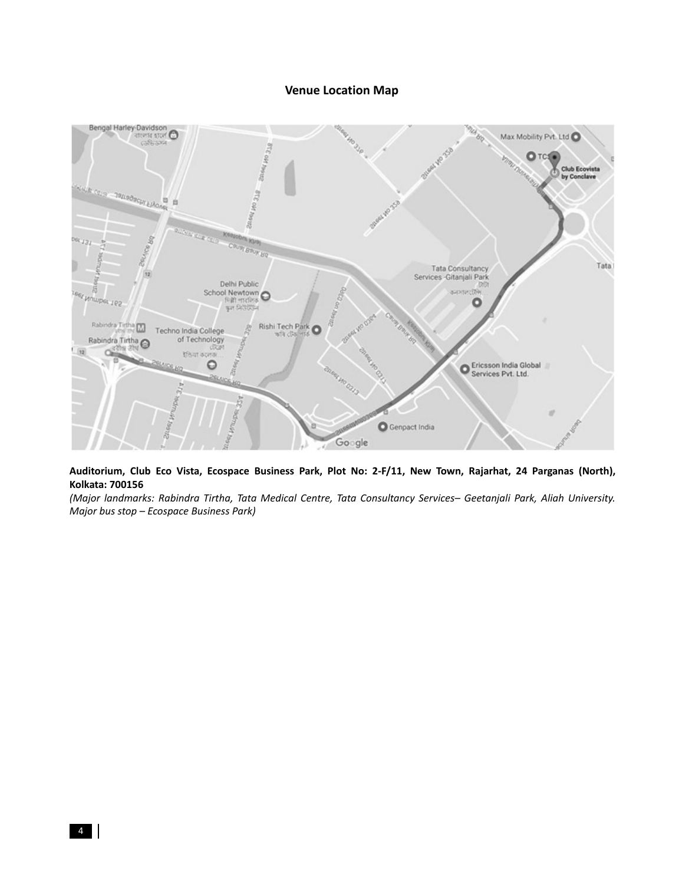## **Venue Location Map**



**Auditorium, Club Eco Vista, Ecospace Business Park, Plot No: 2-F/11, New Town, Rajarhat, 24 Parganas (North), Kolkata: 700156**

*(Major landmarks: Rabindra Tirtha, Tata Medical Centre, Tata Consultancy Services– Geetanjali Park, Aliah University. Major bus stop – Ecospace Business Park)*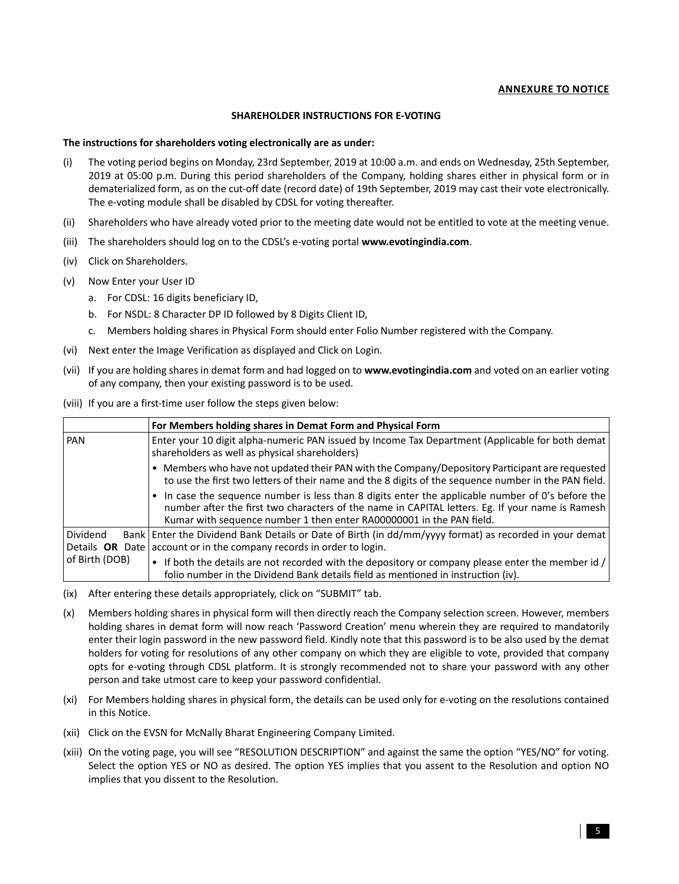### **ANNEXURE TO NOTICE**

#### **SHAREHOLDER INSTRUCTIONS FOR E-VOTING**

#### **The instructions for shareholders voting electronically are as under:**

- (i) The voting period begins on Monday, 23rd September, 2019 at 10:00 a.m. and ends on Wednesday, 25th September, 2019 at 05:00 p.m. During this period shareholders of the Company, holding shares either in physical form or in dematerialized form, as on the cut-off date (record date) of 19th September, 2019 may cast their vote electronically. The e-voting module shall be disabled by CDSL for voting thereafter.
- (ii) Shareholders who have already voted prior to the meeting date would not be entitled to vote at the meeting venue.
- (iii) The shareholders should log on to the CDSL's e-voting portal **www.evotingindia.com**.
- (iv) Click on Shareholders.
- (v) Now Enter your User ID
	- a. For CDSL: 16 digits beneficiary ID,
	- b. For NSDL: 8 Character DP ID followed by 8 Digits Client ID,
	- c. Members holding shares in Physical Form should enter Folio Number registered with the Company.
- (vi) Next enter the Image Verification as displayed and Click on Login.
- (vii) If you are holding shares in demat form and had logged on to **www.evotingindia.com** and voted on an earlier voting of any company, then your existing password is to be used.
- (viii) If you are a first-time user follow the steps given below:

|                | For Members holding shares in Demat Form and Physical Form                                                                                                                                                                                                                  |  |  |
|----------------|-----------------------------------------------------------------------------------------------------------------------------------------------------------------------------------------------------------------------------------------------------------------------------|--|--|
| PAN            | Enter your 10 digit alpha-numeric PAN issued by Income Tax Department (Applicable for both demat<br>shareholders as well as physical shareholders)                                                                                                                          |  |  |
|                | • Members who have not updated their PAN with the Company/Depository Participant are requested<br>to use the first two letters of their name and the 8 digits of the sequence number in the PAN field.                                                                      |  |  |
|                | In case the sequence number is less than 8 digits enter the applicable number of 0's before the<br>number after the first two characters of the name in CAPITAL letters. Eg. If your name is Ramesh<br>Kumar with sequence number 1 then enter RA00000001 in the PAN field. |  |  |
| Dividend       | Bank   Enter the Dividend Bank Details or Date of Birth (in dd/mm/yyyy format) as recorded in your demat  <br>Details OR Date $ $ account or in the company records in order to login.                                                                                      |  |  |
| of Birth (DOB) | • If both the details are not recorded with the depository or company please enter the member id $/$<br>folio number in the Dividend Bank details field as mentioned in instruction (iv).                                                                                   |  |  |

(ix) After entering these details appropriately, click on "SUBMIT" tab.

- (x) Members holding shares in physical form will then directly reach the Company selection screen. However, members holding shares in demat form will now reach 'Password Creation' menu wherein they are required to mandatorily enter their login password in the new password field. Kindly note that this password is to be also used by the demat holders for voting for resolutions of any other company on which they are eligible to vote, provided that company opts for e-voting through CDSL platform. It is strongly recommended not to share your password with any other person and take utmost care to keep your password confidential.
- (xi) For Members holding shares in physical form, the details can be used only for e-voting on the resolutions contained in this Notice.
- (xii) Click on the EVSN for McNally Bharat Engineering Company Limited.
- (xiii) On the voting page, you will see "RESOLUTION DESCRIPTION" and against the same the option "YES/NO" for voting. Select the option YES or NO as desired. The option YES implies that you assent to the Resolution and option NO implies that you dissent to the Resolution.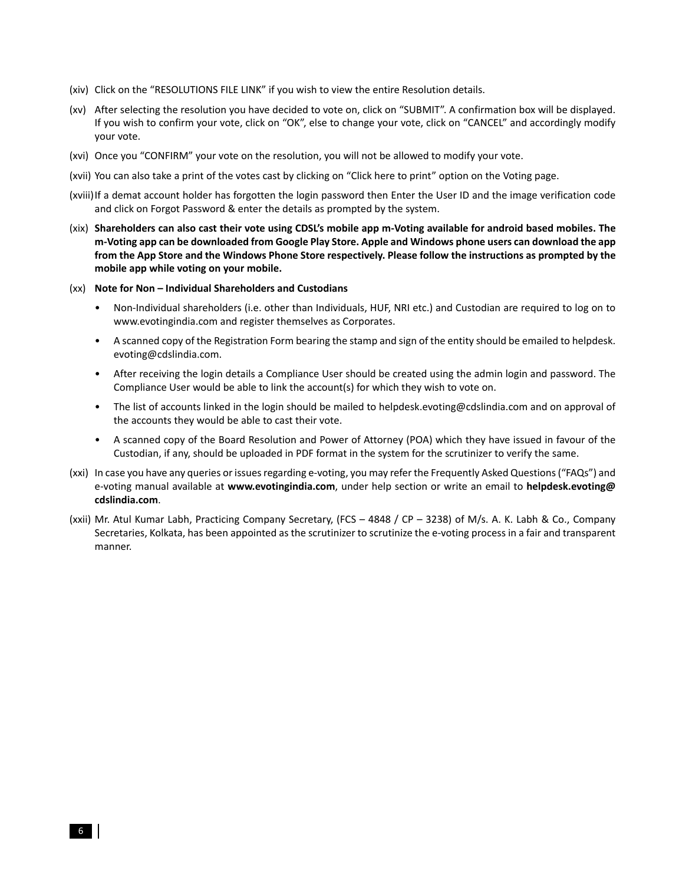- (xiv) Click on the "RESOLUTIONS FILE LINK" if you wish to view the entire Resolution details.
- (xv) After selecting the resolution you have decided to vote on, click on "SUBMIT". A confirmation box will be displayed. If you wish to confirm your vote, click on "OK", else to change your vote, click on "CANCEL" and accordingly modify your vote.
- (xvi) Once you "CONFIRM" your vote on the resolution, you will not be allowed to modify your vote.
- (xvii) You can also take a print of the votes cast by clicking on "Click here to print" option on the Voting page.
- (xviii) If a demat account holder has forgotten the login password then Enter the User ID and the image verification code and click on Forgot Password & enter the details as prompted by the system.
- (xix) **Shareholders can also cast their vote using CDSL's mobile app m-Voting available for android based mobiles. The m-Voting app can be downloaded from Google Play Store. Apple and Windows phone users can download the app from the App Store and the Windows Phone Store respectively. Please follow the instructions as prompted by the mobile app while voting on your mobile.**
- (xx) **Note for Non Individual Shareholders and Custodians**
	- Non-Individual shareholders (i.e. other than Individuals, HUF, NRI etc.) and Custodian are required to log on to www.evotingindia.com and register themselves as Corporates.
	- A scanned copy of the Registration Form bearing the stamp and sign of the entity should be emailed to helpdesk. evoting@cdslindia.com.
	- After receiving the login details a Compliance User should be created using the admin login and password. The Compliance User would be able to link the account(s) for which they wish to vote on.
	- The list of accounts linked in the login should be mailed to helpdesk.evoting@cdslindia.com and on approval of the accounts they would be able to cast their vote.
	- A scanned copy of the Board Resolution and Power of Attorney (POA) which they have issued in favour of the Custodian, if any, should be uploaded in PDF format in the system for the scrutinizer to verify the same.
- (xxi) In case you have any queries or issues regarding e-voting, you may refer the Frequently Asked Questions ("FAQs") and e-voting manual available at **www.evotingindia.com**, under help section or write an email to **helpdesk.evoting@ cdslindia.com**.
- (xxii) Mr. Atul Kumar Labh, Practicing Company Secretary, (FCS 4848 / CP 3238) of M/s. A. K. Labh & Co., Company Secretaries, Kolkata, has been appointed as the scrutinizer to scrutinize the e-voting process in a fair and transparent manner.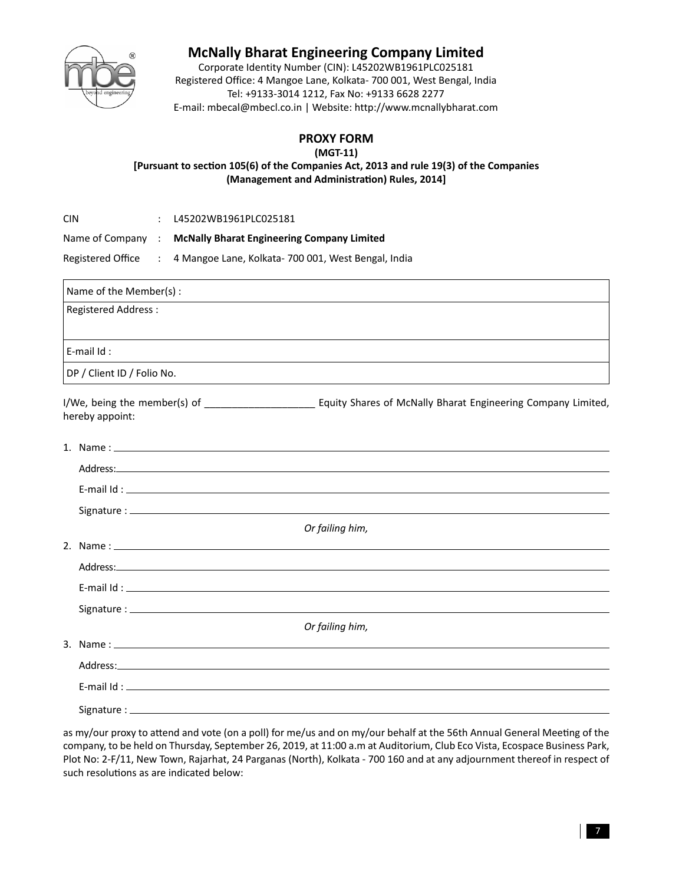

# **McNally Bharat Engineering Company Limited**

Corporate Identity Number (CIN): L45202WB1961PLC025181 Registered Office: 4 Mangoe Lane, Kolkata- 700 001, West Bengal, India Tel: +9133-3014 1212, Fax No: +9133 6628 2277 E-mail: mbecal@mbecl.co.in | Website: http://www.mcnallybharat.com

# **PROXY FORM**

**(MGT-11)**

[Pursuant to section 105(6) of the Companies Act, 2013 and rule 19(3) of the Companies **(Management and Administration) Rules, 2014]** 

| CIN               |                   | L45202WB1961PLC025181                               |
|-------------------|-------------------|-----------------------------------------------------|
| Name of Company : |                   | <b>McNally Bharat Engineering Company Limited</b>   |
| Registered Office | <b>Contractor</b> | 4 Mangoe Lane, Kolkata- 700 001, West Bengal, India |

| Name of the Member(s):     |                                                                                                                |
|----------------------------|----------------------------------------------------------------------------------------------------------------|
| <b>Registered Address:</b> |                                                                                                                |
| E-mail $Id$ :              |                                                                                                                |
| DP / Client ID / Folio No. |                                                                                                                |
| hereby appoint:            |                                                                                                                |
|                            |                                                                                                                |
|                            | Address: Address:                                                                                              |
|                            | E-mail $Id:$ $\Box$                                                                                            |
|                            |                                                                                                                |
|                            | Or failing him,                                                                                                |
|                            |                                                                                                                |
|                            |                                                                                                                |
|                            |                                                                                                                |
|                            |                                                                                                                |
|                            | Or failing him,                                                                                                |
|                            | 3. Name: 1. 2008. 2009. 2009. 2009. 2010. 2010. 2010. 2010. 2010. 2010. 2010. 2010. 2010. 2010. 2010. 2010. 20 |
|                            |                                                                                                                |
|                            |                                                                                                                |
|                            |                                                                                                                |

as my/our proxy to attend and vote (on a poll) for me/us and on my/our behalf at the 56th Annual General Meeting of the company, to be held on Thursday, September 26, 2019, at 11:00 a.m at Auditorium, Club Eco Vista, Ecospace Business Park, Plot No: 2-F/11, New Town, Rajarhat, 24 Parganas (North), Kolkata - 700 160 and at any adjournment thereof in respect of such resolutions as are indicated below: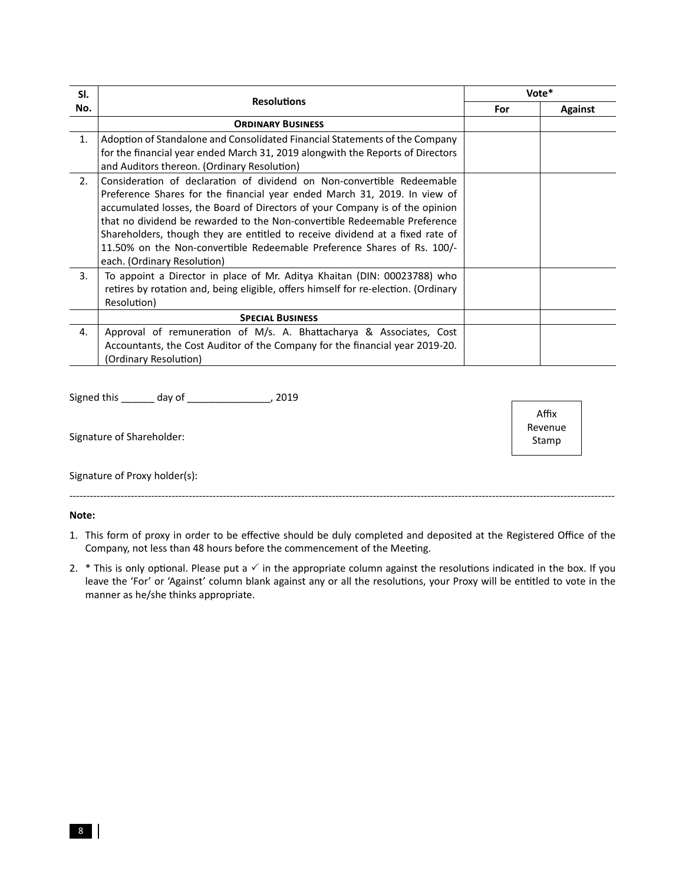| SI.<br><b>Resolutions</b><br>No. |                                                                                                                                                                                                                                                                                                                                                                                                                                                                                                             | Vote* |                |
|----------------------------------|-------------------------------------------------------------------------------------------------------------------------------------------------------------------------------------------------------------------------------------------------------------------------------------------------------------------------------------------------------------------------------------------------------------------------------------------------------------------------------------------------------------|-------|----------------|
|                                  |                                                                                                                                                                                                                                                                                                                                                                                                                                                                                                             | For   | <b>Against</b> |
|                                  | <b>ORDINARY BUSINESS</b>                                                                                                                                                                                                                                                                                                                                                                                                                                                                                    |       |                |
| 1.                               | Adoption of Standalone and Consolidated Financial Statements of the Company<br>for the financial year ended March 31, 2019 alongwith the Reports of Directors<br>and Auditors thereon. (Ordinary Resolution)                                                                                                                                                                                                                                                                                                |       |                |
| 2.                               | Consideration of declaration of dividend on Non-convertible Redeemable<br>Preference Shares for the financial year ended March 31, 2019. In view of<br>accumulated losses, the Board of Directors of your Company is of the opinion<br>that no dividend be rewarded to the Non-convertible Redeemable Preference<br>Shareholders, though they are entitled to receive dividend at a fixed rate of<br>11.50% on the Non-convertible Redeemable Preference Shares of Rs. 100/-<br>each. (Ordinary Resolution) |       |                |
| 3.                               | To appoint a Director in place of Mr. Aditya Khaitan (DIN: 00023788) who<br>retires by rotation and, being eligible, offers himself for re-election. (Ordinary<br>Resolution)                                                                                                                                                                                                                                                                                                                               |       |                |
|                                  | <b>SPECIAL BUSINESS</b>                                                                                                                                                                                                                                                                                                                                                                                                                                                                                     |       |                |
| 4.                               | Approval of remuneration of M/s. A. Bhattacharya & Associates, Cost<br>Accountants, the Cost Auditor of the Company for the financial year 2019-20.<br>(Ordinary Resolution)                                                                                                                                                                                                                                                                                                                                |       |                |

Signed this \_\_\_\_\_\_ day of \_\_\_\_\_\_\_\_\_\_\_\_\_\_\_\_\_, 2019

Signature of Shareholder:

Signature of Proxy holder(s):

#### Note:

- 1. This form of proxy in order to be effective should be duly completed and deposited at the Registered Office of the Company, not less than 48 hours before the commencement of the Meeting.
- 2.  $*$  This is only optional. Please put a  $\checkmark$  in the appropriate column against the resolutions indicated in the box. If you leave the 'For' or 'Against' column blank against any or all the resolutions, your Proxy will be entitled to vote in the manner as he/she thinks appropriate.

Affix Revenue Stamp